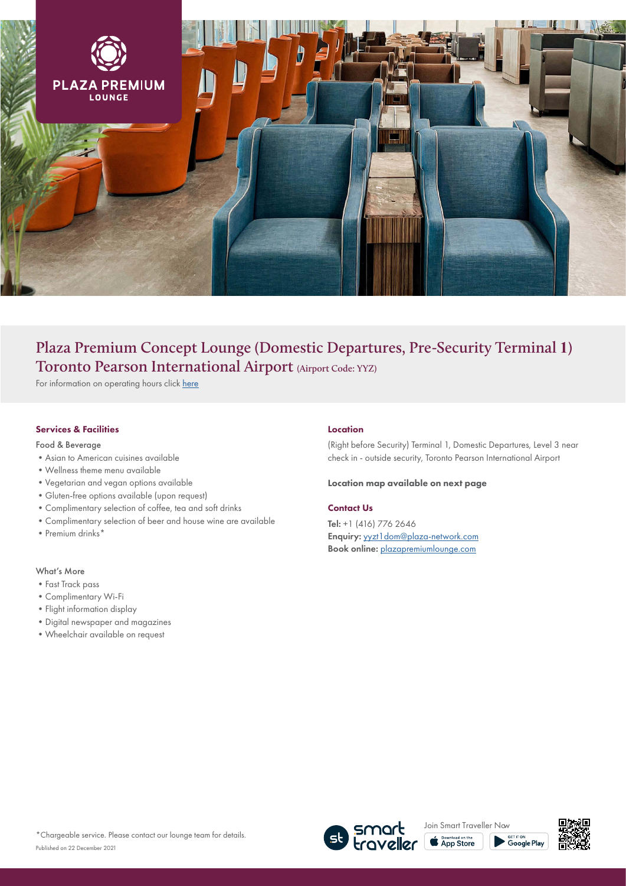

# **Plaza Premium Concept Lounge (Domestic Departures, Pre-Security Terminal 1) Toronto Pearson International Airport (Airport Code: YYZ)**

For information on operating hours click [here](https://www.plazapremiumlounge.com/en-uk/find/americas/canada/toronto/toronto-pearson-international-airport/concept-lounge-domestic-departures-terminal-one)

### Services & Facilities

Food & Beverage

- •Asian to American cuisines available
- •Wellness theme menu available
- •Vegetarian and vegan options available
- •Gluten-free options available (upon request)
- •Complimentary selection of coffee, tea and soft drinks
- •Complimentary selection of beer and house wine are available
- Premium drinks\*

## What's More

- •Fast Track pass
- •Complimentary Wi-Fi
- •Flight information display
- •Digital newspaper and magazines
- •Wheelchair available on request

#### Location

(Right before Security) Terminal 1, Domestic Departures, Level 3 near check in - outside security, Toronto Pearson International Airport

#### Location map available on next page

#### Contact Us

Tel: +1 (416) 776 2646 Enquiry: [yyzt1dom@plaza-network.com](mailto:yyzpl%40plaza-network.com?subject=) Book online: [plazapremiumlounge.com](https://www.plazapremiumlounge.com/en-uk/find/americas/canada/toronto/toronto-pearson-international-airport/concept-lounge-domestic-departures-terminal-one)